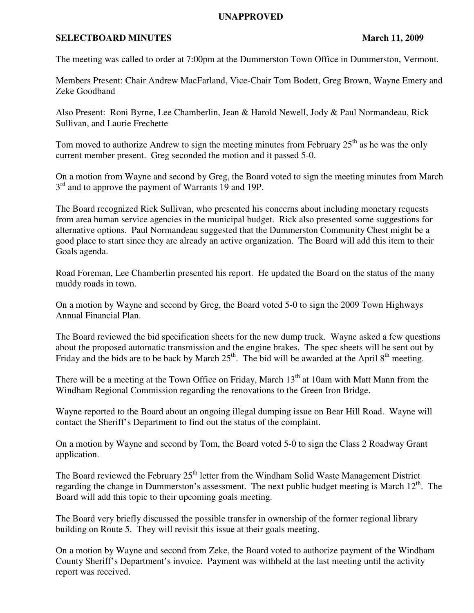## **UNAPPROVED**

## **SELECTBOARD MINUTES** March 11, 2009

The meeting was called to order at 7:00pm at the Dummerston Town Office in Dummerston, Vermont.

Members Present: Chair Andrew MacFarland, Vice-Chair Tom Bodett, Greg Brown, Wayne Emery and Zeke Goodband

Also Present: Roni Byrne, Lee Chamberlin, Jean & Harold Newell, Jody & Paul Normandeau, Rick Sullivan, and Laurie Frechette

Tom moved to authorize Andrew to sign the meeting minutes from February  $25<sup>th</sup>$  as he was the only current member present. Greg seconded the motion and it passed 5-0.

On a motion from Wayne and second by Greg, the Board voted to sign the meeting minutes from March 3<sup>rd</sup> and to approve the payment of Warrants 19 and 19P.

The Board recognized Rick Sullivan, who presented his concerns about including monetary requests from area human service agencies in the municipal budget. Rick also presented some suggestions for alternative options. Paul Normandeau suggested that the Dummerston Community Chest might be a good place to start since they are already an active organization. The Board will add this item to their Goals agenda.

Road Foreman, Lee Chamberlin presented his report. He updated the Board on the status of the many muddy roads in town.

On a motion by Wayne and second by Greg, the Board voted 5-0 to sign the 2009 Town Highways Annual Financial Plan.

The Board reviewed the bid specification sheets for the new dump truck. Wayne asked a few questions about the proposed automatic transmission and the engine brakes. The spec sheets will be sent out by Friday and the bids are to be back by March  $25<sup>th</sup>$ . The bid will be awarded at the April  $8<sup>th</sup>$  meeting.

There will be a meeting at the Town Office on Friday, March 13<sup>th</sup> at 10am with Matt Mann from the Windham Regional Commission regarding the renovations to the Green Iron Bridge.

Wayne reported to the Board about an ongoing illegal dumping issue on Bear Hill Road. Wayne will contact the Sheriff's Department to find out the status of the complaint.

On a motion by Wayne and second by Tom, the Board voted 5-0 to sign the Class 2 Roadway Grant application.

The Board reviewed the February  $25<sup>th</sup>$  letter from the Windham Solid Waste Management District regarding the change in Dummerston's assessment. The next public budget meeting is March  $12<sup>th</sup>$ . The Board will add this topic to their upcoming goals meeting.

The Board very briefly discussed the possible transfer in ownership of the former regional library building on Route 5. They will revisit this issue at their goals meeting.

On a motion by Wayne and second from Zeke, the Board voted to authorize payment of the Windham County Sheriff's Department's invoice. Payment was withheld at the last meeting until the activity report was received.